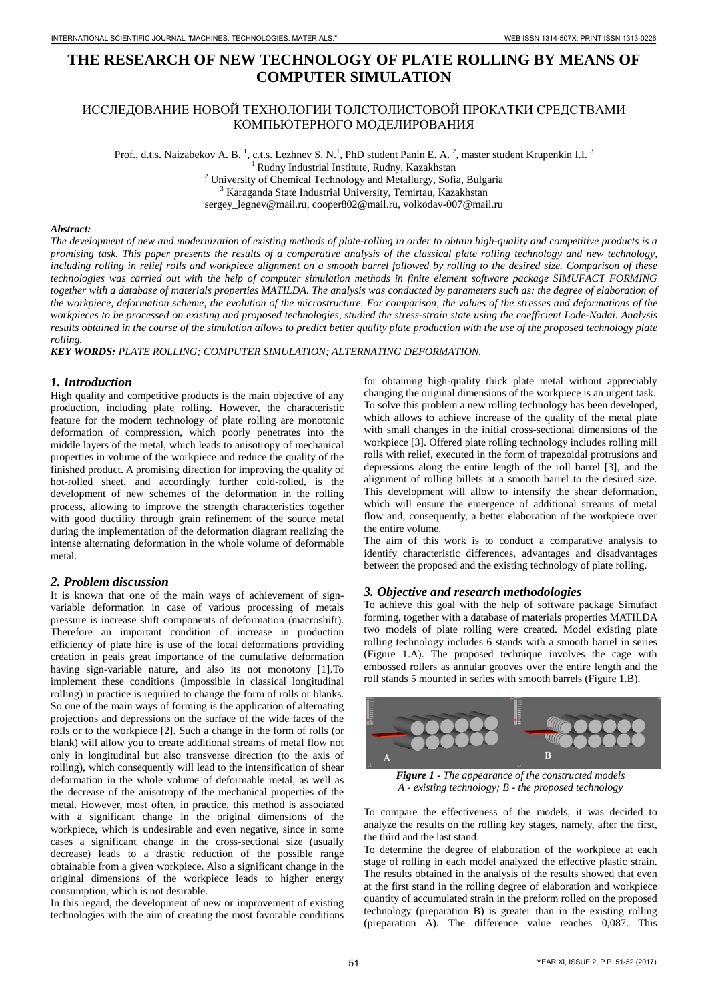# **THE RESEARCH OF NEW TECHNOLOGY OF PLATE ROLLING BY MEANS OF COMPUTER SIMULATION**

# ИССЛЕДОВАНИЕ НОВОЙ ТЕХНОЛОГИИ ТОЛСТОЛИСТОВОЙ ПРОКАТКИ СРЕДСТВАМИ КОМПЬЮТЕРНОГО МОДЕЛИРОВАНИЯ

Prof., d.t.s. Naizabekov A. B.<sup>1</sup>, c.t.s. Lezhnev S. N.<sup>1</sup>, PhD student Panin E. A.<sup>2</sup>, master student Krupenkin I.I.<sup>3</sup> <sup>1</sup> Rudny Industrial Institute, Rudny, Kazakhstan<br><sup>2</sup> University of Chemical Technology and Metallurgy, Sofia, Bulgaria <sup>3</sup> Karaganda State Industrial University, Temirtau, Kazakhstan sergey\_legnev@mail.ru, cooper802@mail.ru, volkodav-007@mail.ru

#### *Abstract:*

*The development of new and modernization of existing methods of plate-rolling in order to obtain high-quality and competitive products is a promising task. This paper presents the results of a comparative analysis of the classical plate rolling technology and new technology, including rolling in relief rolls and workpiece alignment on a smooth barrel followed by rolling to the desired size. Comparison of these technologies was carried out with the help of computer simulation methods in finite element software package SIMUFACT FORMING together with a database of materials properties MATILDA. The analysis was conducted by parameters such as: the degree of elaboration of the workpiece, deformation scheme, the evolution of the microstructure. For comparison, the values of the stresses and deformations of the workpieces to be processed on existing and proposed technologies, studied the stress-strain state using the coefficient Lode-Nadai. Analysis results obtained in the course of the simulation allows to predict better quality plate production with the use of the proposed technology plate rolling.*

*KEY WORDS: PLATE ROLLING; COMPUTER SIMULATION; ALTERNATING DEFORMATION.*

# *1. Introduction*

High quality and competitive products is the main objective of any production, including plate rolling. However, the characteristic feature for the modern technology of plate rolling are monotonic deformation of compression, which poorly penetrates into the middle layers of the metal, which leads to anisotropy of mechanical properties in volume of the workpiece and reduce the quality of the finished product. A promising direction for improving the quality of hot-rolled sheet, and accordingly further cold-rolled, is the development of new schemes of the deformation in the rolling process, allowing to improve the strength characteristics together with good ductility through grain refinement of the source metal during the implementation of the deformation diagram realizing the intense alternating deformation in the whole volume of deformable metal.

#### *2. Problem discussion*

It is known that one of the main ways of achievement of signvariable deformation in case of various processing of metals pressure is increase shift components of deformation (macroshift). Therefore an important condition of increase in production efficiency of plate hire is use of the local deformations providing creation in peals great importance of the cumulative deformation having sign-variable nature, and also its not monotony [1].To implement these conditions (impossible in classical longitudinal rolling) in practice is required to change the form of rolls or blanks. So one of the main ways of forming is the application of alternating projections and depressions on the surface of the wide faces of the rolls or to the workpiece [2]. Such a change in the form of rolls (or blank) will allow you to create additional streams of metal flow not only in longitudinal but also transverse direction (to the axis of rolling), which consequently will lead to the intensification of shear deformation in the whole volume of deformable metal, as well as the decrease of the anisotropy of the mechanical properties of the metal. However, most often, in practice, this method is associated with a significant change in the original dimensions of the workpiece, which is undesirable and even negative, since in some cases a significant change in the cross-sectional size (usually decrease) leads to a drastic reduction of the possible range obtainable from a given workpiece. Also a significant change in the original dimensions of the workpiece leads to higher energy consumption, which is not desirable.

In this regard, the development of new or improvement of existing technologies with the aim of creating the most favorable conditions

for obtaining high-quality thick plate metal without appreciably changing the original dimensions of the workpiece is an urgent task. To solve this problem a new rolling technology has been developed, which allows to achieve increase of the quality of the metal plate with small changes in the initial cross-sectional dimensions of the workpiece [3]. Offered plate rolling technology includes rolling mill rolls with relief, executed in the form of trapezoidal protrusions and depressions along the entire length of the roll barrel [3], and the alignment of rolling billets at a smooth barrel to the desired size. This development will allow to intensify the shear deformation, which will ensure the emergence of additional streams of metal flow and, consequently, a better elaboration of the workpiece over the entire volume.

The aim of this work is to conduct a comparative analysis to identify characteristic differences, advantages and disadvantages between the proposed and the existing technology of plate rolling.

# *3. Objective and research methodologies*

To achieve this goal with the help of software package Simufact forming, together with a database of materials properties MATILDA two models of plate rolling were created. Model existing plate rolling technology includes  $\overline{6}$  stands with a smooth barrel in series (Figure 1.A). The proposed technique involves the cage with embossed rollers as annular grooves over the entire length and the roll stands 5 mounted in series with smooth barrels (Figure 1.B).



*Figure 1 - The appearance of the constructed models A - existing technology; B - the proposed technology*

To compare the effectiveness of the models, it was decided to analyze the results on the rolling key stages, namely, after the first, the third and the last stand.

To determine the degree of elaboration of the workpiece at each stage of rolling in each model analyzed the effective plastic strain. The results obtained in the analysis of the results showed that even at the first stand in the rolling degree of elaboration and workpiece quantity of accumulated strain in the preform rolled on the proposed technology (preparation B) is greater than in the existing rolling (preparation A). The difference value reaches 0,087. This